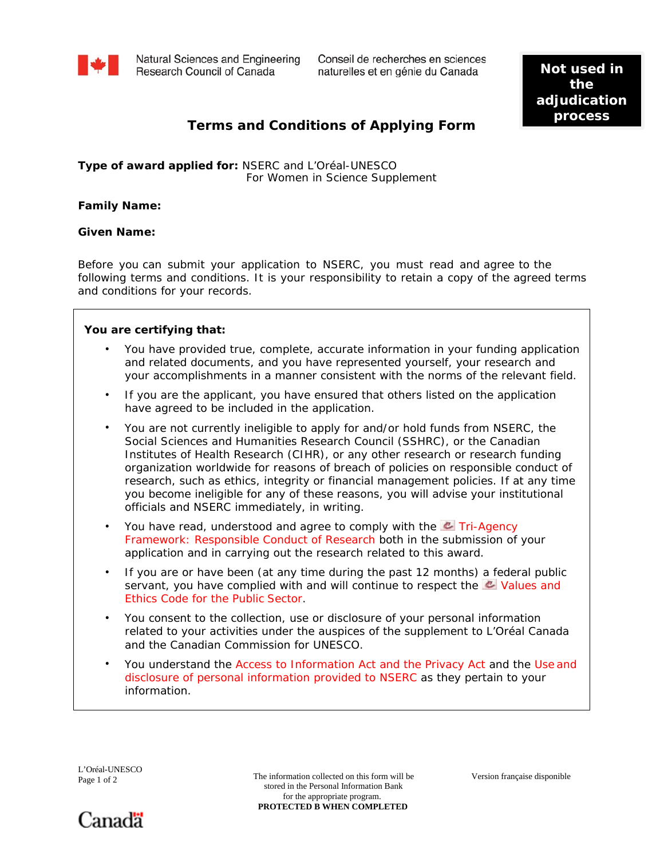

Natural Sciences and Engineering Research Council of Canada

Conseil de recherches en sciences naturelles et en génie du Canada

Not used in the adjudication process

## **Terms and Conditions of Applying Form**

## Type of award applied for: NSERC and L'Oréal-UNESCO For Women in Science Supplement

**Family Name:** 

**Given Name:** 

Before you can submit your application to NSERC, you must read and agree to the following terms and conditions. It is your responsibility to retain a copy of the agreed terms and conditions for your records.

You are certifying that:

- You have provided true, complete, accurate information in your funding application and related documents, and you have represented yourself, your research and your accomplishments in a manner consistent with the norms of the relevant field.
- If you are the applicant, you have ensured that others listed on the application have agreed to be included in the application.
- You are not currently ineligible to apply for and/or hold funds from NSERC, the Social Sciences and Humanities Research Council (SSHRC), or the Canadian Institutes of Health Research (CIHR), or any other research or research funding organization worldwide for reasons of breach of policies on responsible conduct of research, such as ethics, integrity or financial management policies. If at any time you become ineligible for any of these reasons, you will advise your institutional officials and NSERC immediately, in writing.
- You have read, understood and agree to comply with the & Tri-Agency Framework: Responsible Conduct of Research both in the submission of your application and in carrying out the research related to this award.
- If you are or have been (at any time during the past 12 months) a federal public servant, you have complied with and will continue to respect the **UV** Values and Ethics Code for the Public Sector.
- You consent to the collection, use or disclosure of your personal information related to your activities under the auspices of the supplement to L'Oréal Canada and the Canadian Commission for UNESCO.
- You understand the Access to Information Act and the Privacy Act and the Use and disclosure of personal information provided to NSERC as they pertain to your information.

L'Oréal-UNESCO Page 1 of 2

The information collected on this form will be stored in the Personal Information Bank for the appropriate program. PROTECTED B WHEN COMPLETED

Version française disponible